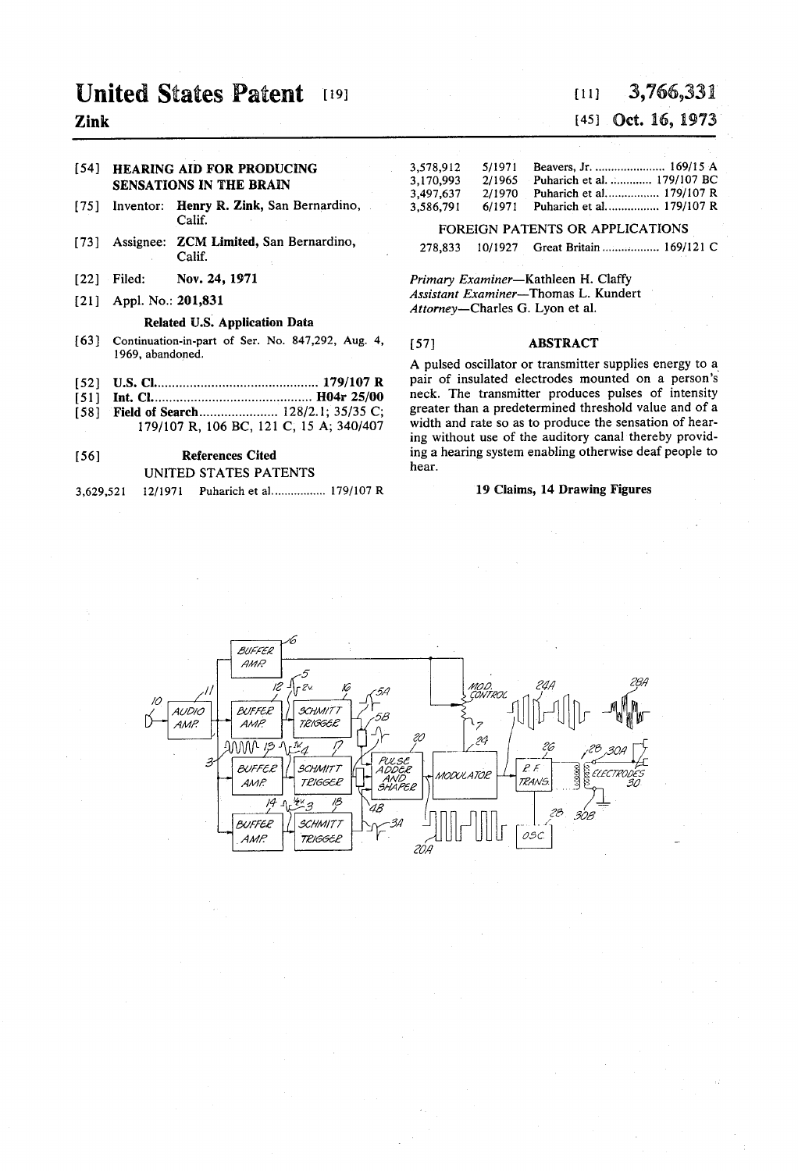## United States Patent [19] [11] 3,766,331

### **Zink** [45] **Oct. 16, 1973**

- [75] Inventor: Henry R. Zink, San Bernardino, Calif.
- [73] Assignee: **ZCM Limited, San Bernardino,** 278,833 10/1927 Great Britain................... 169/121 C<br>Calif.
- 
- 

### Related U.S. Application Data

- [63] Continuation-in-part of Ser. No. 847,292, Aug. 4, [57] ABSTRACT 1969, abandoned.
- 
- 
- 

# UNITED STATES PATENTS hear.

3,629,521 12/1971 Puharich et al................. 179/107 R 19 Claims, 14 Drawing Figures

### [54] HEARING AID FOR PRODUCING 3,578,912 5/1971 Beavers, Jr. .......................... 169/15 A<br>SENSATIONS IN THE BRAIN 3,170,993 2/1965 Puharich et al. ............. 179/107 BC 3,170,993 2/1965 Puharich et al. ............. 179/107 BC<br>3,497,637 2/1970 Puharich et al. ................ 179/107 R 3,497,637 2/1970 Puharich et al................. 179/107 R<br>3,586,791 6/1971 Puharich et al................. 179/107 R

### FOREIGN PATENTS OR APPLICATIONS

[22] Filed: Nov. 24, 1971 Primary Examiner-Kathleen H. Claffy<br>
Assistant Examiner-Thomas L. Kundert Assistant Examiner—Thomas L. R. Assistant Examiner—Thomas L. R. Assistant Examiner—Thomas L. R. Attorney-Charles G. Lyon et al.

1999, abandoned.<br>
199/107 R Pair of insulated electrodes mounted on a person's uncontrolled the control of a person's [52] U.S. Cl. (52) U.S. Cl. (52) U.S. Cl. (52) U.S. Cl. (52) U.S. Cl. (51) Int. Cl. (53) Int. Cl. (58) Eield of Search (58) Cl. (58) Cl. (58) Cl. (58) Cl. (58) Cl. (58) Cl. (58) Cl. (58) Cl. (58) Cl. (58) C. (58) C. (58) ing without use of the auditory canal thereby provid-56) References Cited ing a hearing system enabling otherwise deaf people to

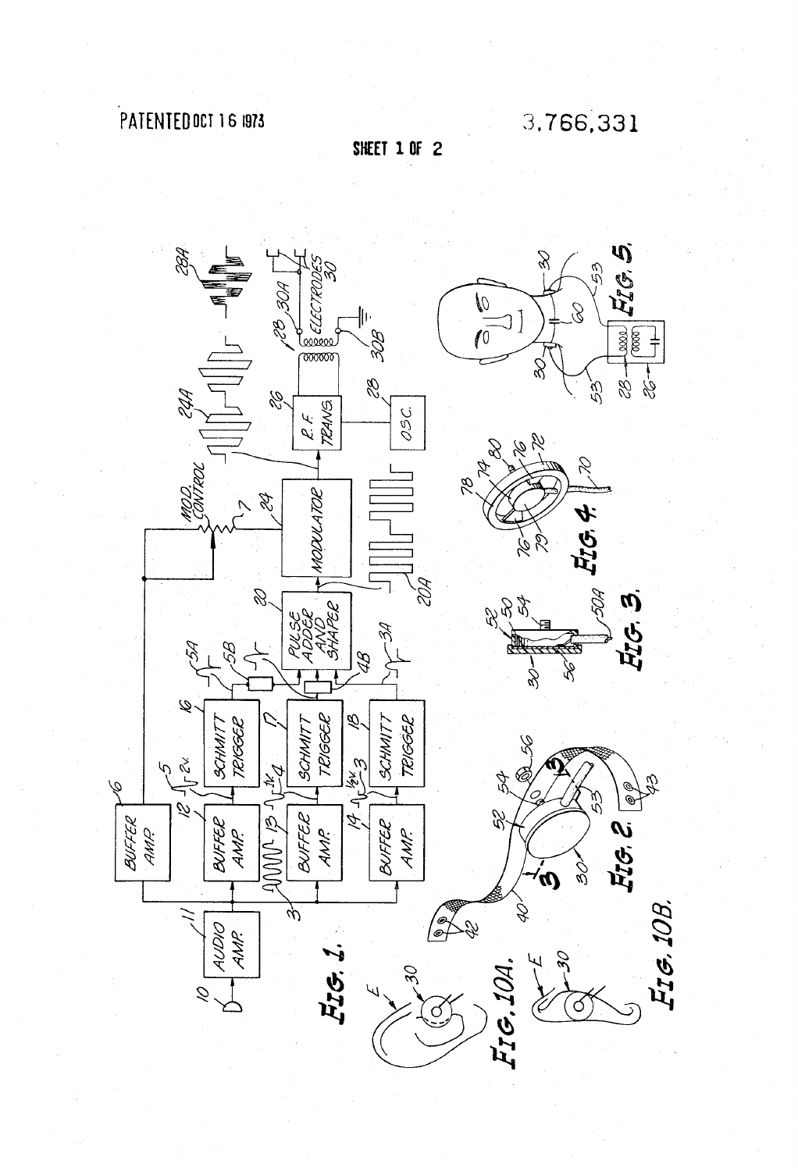# PATENTED OCT 16 1973

**SHEET 1 OF 2** 

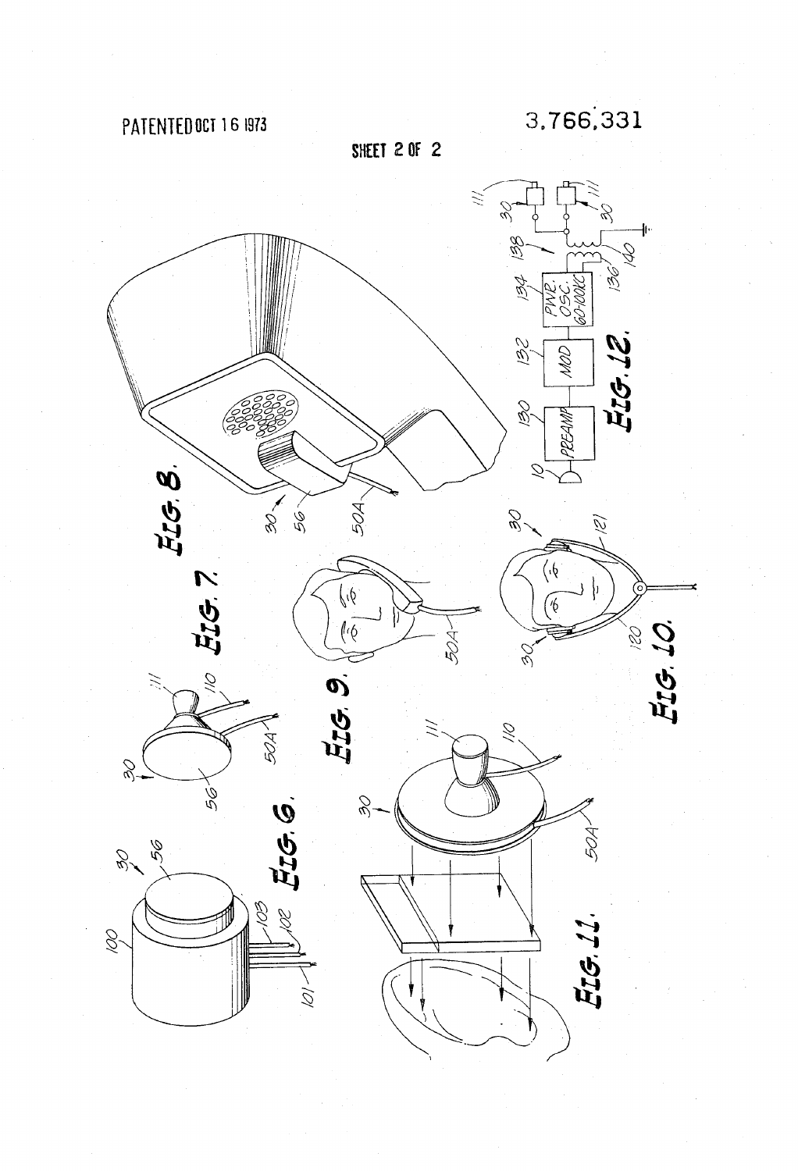PATENTED OCT 16 1973

SHEET 2 OF 2

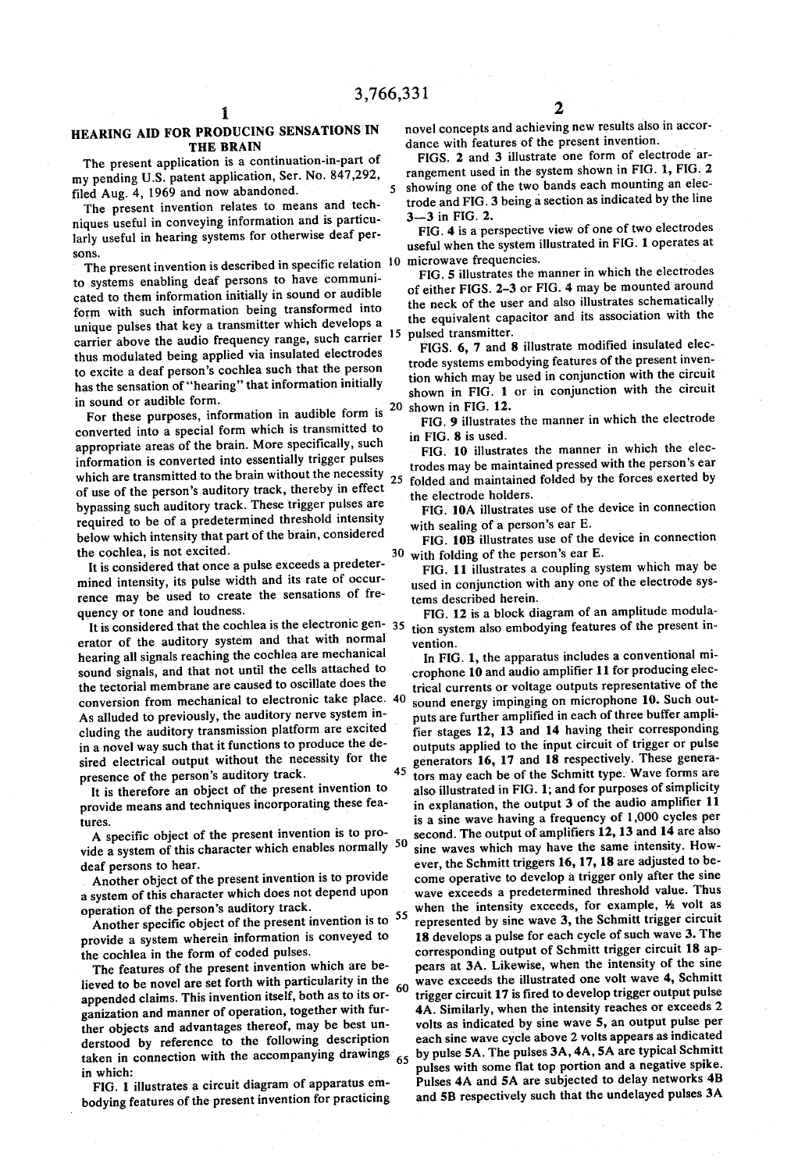5

### HEARING AID FOR PRODUCING SENSATIONS IN THE BRAIN

The present application is a continuation-in-part of my pending U.S. patent application, Ser. No. 847,292, filed Aug. 4, 1969 and now abandoned.

The present invention relates to means and techniques useful in conveying information and is particularly useful in hearing systems for otherwise deaf persons.

The present invention is described in specific relation 10 to systems enabling deaf persons to have communi cated to them information initially in sound or audible form with such information being transformed into unique pulses that key a transmitter which develops a carrier above the audio frequency range, such carrier  $^{15}$  pulsed transmitter. thus modulated being applied via insulated electrodes<br>to excite a deaf person's cochlea such that the person has the sensation of "hearing" that information initially in sound or audible form.

For these purposes, information in audible form is 20 converted into a special form which is transmitted to appropriate areas of the brain. More specifically, such information is converted into essentially trigger pulses of use of the person's auditory track, thereby in effect bypassing such auditory track. These trigger pulses are required to be of a predetermined threshold intensity below which intensity that part of the brain, considered which are transmitted to the brain without the necessity  $25$ 

the cochlea, is not excited.<br>It is considered that once a pulse exceeds a predetermined intensity, its pulse width and its rate of occurrence may be used to create the sensations of fre quency or tone and loudness.

It is considered that the cochlea is the electronic gen- $35$ erator of the auditory system and that with normal hearing all signals reaching the cochlea are mechanical sound signals, and that not until the cells attached to the tectorial membrane are caused to oscillate does the As alluded to previously, the auditory nerve system inconversion from mechanical to electronic take place. 40 sound energy impinging on microphone 10. Such out-<br>As alluded to previously, the auditory nerve system in-<br>buts are further amplified in each of three buffer amplicluding the auditory transmission platform are excited in a novel way such that it functions to produce the de sired electrical output without the necessity for the presence of the person's auditory track. 45

It is therefore an object of the present invention to provide means and techniques incorporating these fea

tures.<br>A specific object of the present invention is to pro-A specific object of the present invention is to provide a system of this character which enables normally 50 deaf persons to hear.

Another object of the present invention is to provide operation of the person's auditory track.

Another specific object of the present invention is to <sup>55</sup> provide a system wherein information is conveyed to

The features of the present invention which are believed to be novel are set forth with particularity in the appended claims. This invention itself, both as to its or ganization and manner of operation, together with fur ther objects and advantages thereof, may be best understood by reference to the following description derstood by reference to the rollowing description<br>taken in connection with the accompanying drawings <sub>65</sub> in which:

FIG. 1 illustrates a circuit diagram of apparatus em bodying features of the present invention for practicing novel concepts and achieving new results also in accor dance with features of the present invention.

FIGS. 2 and 3 illustrate one form of electrode ar rangement used in the system shown in FIG. 1, FIG. 2 showing one of the two bands each mounting an elec trode and FIG.3 being a section as indicated by the line 3-3 in FIG. 2.

FIG. 4 is a perspective view of one of two electrodes useful when the system illustrated in FIG. 1 operates at

FIG. 5 illustrates the manner in which the electrodes of either FIGS. 2-3 or FIG. 4 may be mounted around the equivalent capacitor and its association with the

FIGS. 6, 7 and 8 illustrate modified insulated elec trode systems embodying features of the present inven tion which may be used in conjunction with the circuit shown in FIG. 1 or in conjunction with the circuit shown in FIG. 12.

FIG. 9 illustrates the manner in which the electrode in FIG. 8 is used.

FIG. 10 illustrates the manner in which the elec trodes may be maintained pressed with the person's ear folded and maintained folded by the forces exerted by the electrode holders.

FIG. 10A illustrates use of the device in connection with sealing of a person's ear E.

30 with folding of the person's ear E. FIG. 10B illustrates use of the device in connection

FIG. 11 illustrates a coupling system which may be used in conjunction with any one of the electrode sys tems described herein.

FIG. 12 is a block diagram of an amplitude modula tion system also embodying features of the present in vention.

In FIG. 1, the apparatus includes a conventional mi crophone 10 and audio amplifier 11 for producing elec trical currents or voltage outputs representative of the sound energy impinging on microphone 10. Such out fier stages 12, 13 and 14 having their corresponding outputs applied to the input circuit of trigger or pulse generators 16, 17 and 18 respectively. These genera tors may each be of the Schmitt type. Wave forms are also illustrated in FIG. 1; and for purposes of simplicity in explanation, the output 3 of the audio amplifier 11 is a sine wave having a frequency of  $1,000$  cycles per second. The output of amplifiers 12, 13 and 14 are also sine waves which may have the same intensity. How ever, the Schmitt triggers 16, 17, 18 are adjusted to be come operative to develop a trigger only after the sine wave exceeds a predetermined threshold value. Thus 60 wave exceeds the illustrated one volt wave 4, Schmitt when the intensity exceeds, for example, 1/2 volt as represented by sine wave 3, the Schmitt trigger circuit 18 develops a pulse for each cycle of such wave 3. The corresponding output of Schmitt trigger circuit 18 ap pears at 3A. Likewise, when the intensity of the sine trigger circuit 17 is fired to develop trigger output pulse 4A. Similarly, when the intensity reaches or exceeds 2 volts as indicated by sine wave 5, an output pulse per each sine wave cycle above 2 volts appears as indicated by pulse 5A. The pulses 3A, 4A, 5A are typical Schmitt Pulses 4A and 5A are subjected to delay networks 4B and 5B respectively such that the undelayed pulses 3A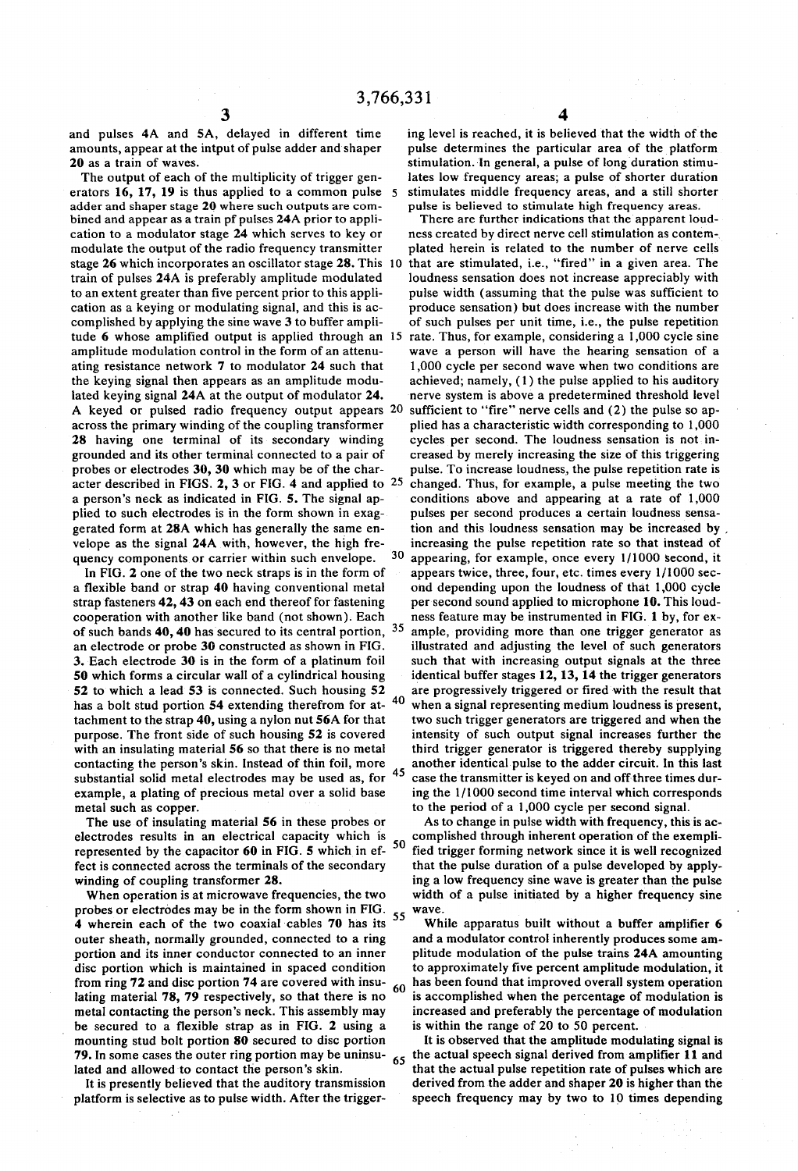and pulses 4A and 5A, delayed in different time amounts, appear at the intput of pulse adder and shaper 20 as a train of waves.

The output of each of the multiplicity of trigger gen erators 16, 17, 19 is thus applied to a common pulse 5 adder and shaper stage 20 where such outputs are com bined and appear as a train pf pulses 24A prior to appli cation to a modulator stage 24 which serves to key or modulate the output of the radio frequency transmitter stage 26 which incorporates an oscillator stage 28. This 10 train of pulses 24A is preferably amplitude modulated cation as a keying or modulating signal, and this is accomplished by applying the sine wave 3 to buffer ampli tude 6 whose amplified output is applied through an 5 amplitude modulation control in the form of an attenu ating resistance network 7 to modulator 24 such that the keying signal then appears as an amplitude modu lated keying signal 24A at the output of modulator 24. A keyed or pulsed radio frequency output appears 20 sufficient to "fire" nerve cells and (2) the pulse so apacross the primary winding of the coupling transformer 28 having one terminal of its secondary winding grounded and its other terminal connected to a pair of probes or electrodes 30, 30 which may be of the char acter described in FIGS. 2, 3 or FIG. 4 and applied to  $25$ a person's neck as indicated in FIG. 5. The signal applied to such electrodes is in the form shown in exaggerated form at 28A which has generally the same en velope as the signal 24A with, however, the high fre quency components or carrier within such envelope.

In FIG. 2 one of the two neck straps is in the form of a flexible band or strap 40 having conventional metal strap fasteners 42, 43 on each end thereof for fastening cooperation with another like band (not shown). Each of such bands  $40, 40$  has secured to its central portion,  $35$ an electrode or probe 30 constructed as shown in FIG. 3. Each electrode 30 is in the form of a platinum foil 50 which forms a circular wall of a cylindrical housing 52 to which a lead 53 is connected. Such housing 52 has a bolt stud portion 54 extending therefrom for at tachment to the strap 40, using a nylon nut 56A for that purpose. The front side of such housing 52 is covered with an insulating material 56 so that there is no metal contacting the person's skin. Instead of thin foil, more substantial solid metal electrodes may be used as, for example, a plating of precious metal over a solid base 40

The use of insulating material 56 in these probes or electrodes results in an electrical capacity which is electrodes results in an electrical capacity which is represented by the capacitor 60 in FIG. 5 which in ef- $50$ fect is connected across the terminals of the secondary winding of coupling transformer 28.

When operation is at microwave frequencies, the two probes or electrodes may be in the form shown in FIG. 4 wherein each of the two coaxial cables 70 has its outer sheath, normally grounded, connected to a ring portion and its inner conductor connected to an inner disc portion which is maintained in spaced condition from ring 72 and disc portion 74 are covered with insu lating material 78, 79 respectively, so that there is no metal contacting the person's neck. This assembly may be secured to a flexible strap as in FIG. 2 using a mounting stud bolt portion 80 secured to disc portion 79. In some cases the outer ring portion may be uninsulated and allowed to contact the person's skin. 55 65

It is presently believed that the auditory transmission platform is selective as to pulse width. After the trigger ing level is reached, it is believed that the width of the stimulation. In general, a pulse of long duration stimulates low frequency areas; a pulse of shorter duration stimulates middle frequency areas, and a still shorter pulse is believed to stimulate high frequency areas.

30 45 There are further indications that the apparent loud ness created by direct nerve cell stimulation as contem plated herein is related to the number of nerve cells that are stimulated, i.e., "fired' in a given area. The loudness sensation does not increase appreciably with pulse width (assuming that the pulse was sufficient to produce sensation) but does increase with the number of such pulses per unit time, i.e., the pulse repetition rate. Thus, for example, considering a 1,000 cycle sine wave a person will have the hearing sensation of a 1,000 cycle per second wave when two conditions are achieved; namely, (1) the pulse applied to his auditory nerve system is above a predetermined threshold level plied has a characteristic width corresponding to 1,000 cycles per second. The loudness sensation is not in creased by merely increasing the size of this triggering pulse. To increase loudness, the pulse repetition rate is changed. Thus, for example, a pulse meeting the two conditions above and appearing at a rate of 1,000 pulses per second produces a certain loudness sensation and this loudness sensation may be increased by increasing the pulse repetition rate so that instead of appearing, for example, once every 1/1000 second, it appears twice, three, four, etc. times every 1/1000 sec ond depending upon the loudness of that 1,000 cycle per second sound applied to microphone 10. This loud ness feature may be instrumented in FIG. 1 by, for ex ample, providing more than one trigger generator as illustrated and adjusting the level of such generators such that with increasing output signals at the three identical buffer stages 12, 13, 14 the trigger generators are progressively triggered or fired with the result that when a signal representing medium loudness is present, two such trigger generators are triggered and when the intensity of such output signal increases further the third trigger generator is triggered thereby supplying another identical pulse to the adder circuit. In this last case the transmitter is keyed on and off three times dur ing the 1/1000 second time interval which corresponds to the period of a 1,000 cycle per second signal.

As to change in pulse width with frequency, this is ac complished through inherent operation of the exempli-<br>fied trigger forming network since it is well recognized that the pulse duration of a pulse developed by applying a low frequency sine wave is greater than the pulse width of a pulse initiated by a higher frequency sine wave.

60 has been found that improved overall system operation While apparatus built without a buffer amplifier 6 and a modulator control inherently produces some am plitude modulation of the pulse trains 24A amounting to approximately five percent amplitude modulation, it is accomplished when the percentage of modulation is increased and preferably the percentage of modulation is within the range of 20 to 50 percent.

It is observed that the amplitude modulating signal is the actual speech signal derived from amplifier 11 and that the actual pulse repetition rate of pulses which are derived from the adder and shaper 20 is higher than the speech frequency may by two to 10 times depending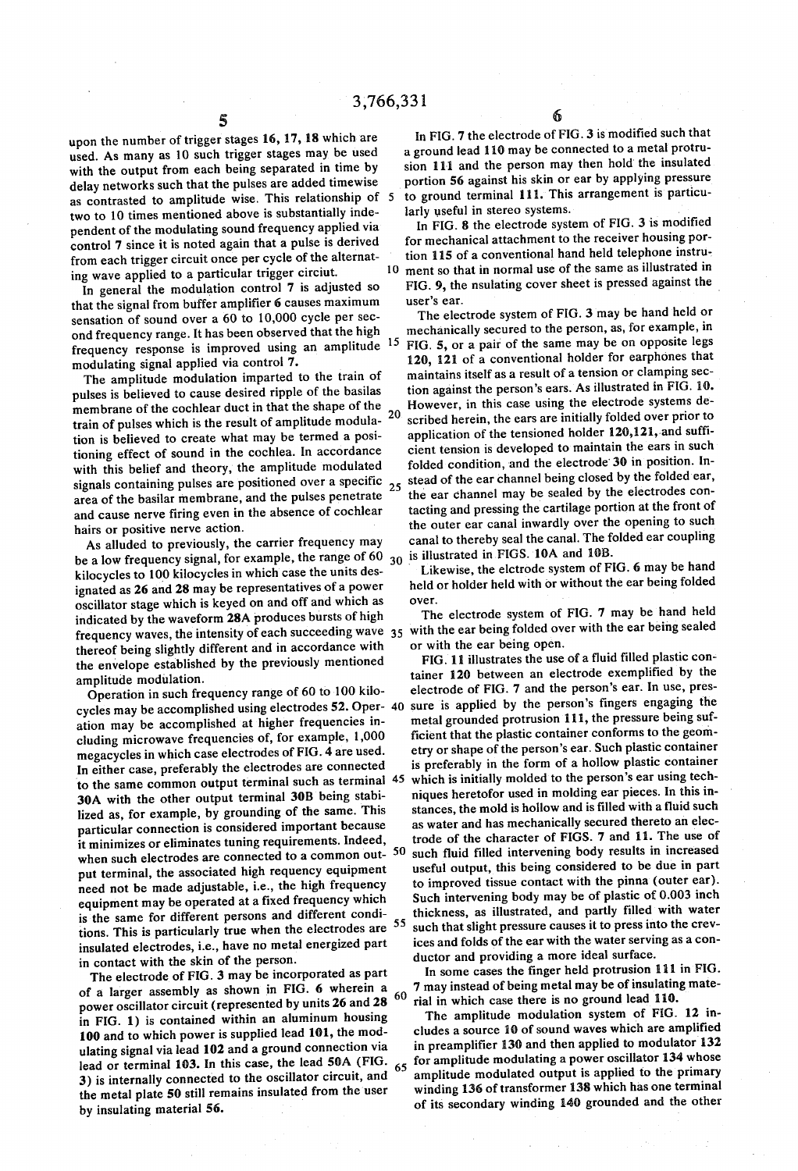upon the number of trigger stages 16, 17, 18 which are used. As many as 10 such trigger stages may be used with the output from each being separated in time by delay networks such that the pulses are added timewise as contrasted to amplitude wise. This relationship of 5 two to 10 times mentioned above is substantially inde pendent of the modulating sound frequency applied via control 7 since it is noted again that a pulse is derived from each trigger circuit once per cycle of the alternat ing wave applied to a particular trigger circiut.

In general the modulation control 7 is adjusted so that the signal from buffer amplifier 6 causes maximum sensation of sound over a 60 to 10,000 cycle per sec-<br>ond frequency range. It has been observed that the high ond frequency range. It has been observed that the high frequency response is improved using an amplitude <sup>15</sup> modulating signal applied via control 7.

The amplitude modulation imparted to the train of pulses is believed to cause desired ripple of the basilas membrane of the cochlear duct in that the shape of the train of pulses which is the result of amplitude modula tioning effect of sound in the cochlea. In accordance with this belief and theory, the amplitude modulated signals containing pulses are positioned over a specific area of the basilar membrane, and the pulses penetrate and cause nerve firing even in the absence of cochlear 20

hairs or positive nerve action.<br>As alluded to previously, the carrier frequency may be a low frequency signal, for example, the range of 60  $_{30}$ kilocycles to 100 kilocycles in which case the units des ignated as 26 and 28 may be representatives of a power oscillator stage which is keyed on and off and which as indicated by the waveform 28A produces bursts of high thereof being slightly different and in accordance with the envelope established by the previously mentioned amplitude modulation.

Operation in such frequency range of 60 to 100 kilo ation may be accomplished at higher frequencies including microwave frequencies of, for example, 1,000 megacycles in which case electrodes of FIG. 4 are used. In either case, preferably the electrodes are connected to the same common output terminal such as terminal 30A with the other output terminal 30B being stabi lized as, for example, by grounding of the same. This particular connection is considered important because it minimizes or eliminates tuning requirements. Indeed, when such electrodes are connected to a common out-<br>put terminal, the associated high requency equipment need not be made adjustable, i.e., the high frequency equipment may be operated at a fixed frequency which is the same for different persons and different condiis the same for different persons and different conditions. This is particularly true when the electrodes are 55 insulated electrodes, i.e., have no metal energized part 45 50

The electrode of FIG. 3 may be incorporated as part of a larger assembly as shown in FIG. 6 wherein a power oscillator circuit (represented by units 26 and 28 in FIG. 1) is contained within an aluminum housing 100 and to which power is supplied lead 101, the mod ulating signal via lead 102 and a ground connection via lead or terminal 103. In this case, the lead 50A (FIG. 3) is internally connected to the oscillator circuit, and the metal plate 50 still remains insulated from the user by insulating material 56. 60

In FIG. 7 the electrode of FIG. 3 is modified such that a ground lead 110 may be connected to a metal protrusion 111 and the person may then hold the insulated portion 56 against his skin or ear by applying pressure to ground terminal 111. This arrangement is particu larly useful in stereo systems.

10 ment so that in normal use of the same as illustrated in In FIG. 8 the electrode system of FIG. 3 is modified for mechanical attachment to the receiver housing portion 115 of a conventional hand held telephone instru-FIG. 9, the nsulating cover sheet is pressed against the user's ear.

25 stead of the ear channel being closed by the folded ear, The electrode system of FIG.3 may be hand held or mechanically secured to the person, as, for example, in FIG. 5, or a pair of the same may be on opposite legs 120, 121 of a conventional holder for earphones that maintains itself as a result of a tension or clamping sec tion against the person's ears. As illustrated in FIG. 10. However, in this case using the electrode systems de scribed herein, the ears are initially folded over prior to application of the tensioned holder 120,121, and suffi cient tension is developed to maintain the ears in such folded condition, and the electrode 30 in position. In the ear channel may be sealed by the electrodes contacting and pressing the cartilage portion at the front of the outer ear canal inwardly over the opening to such canal to thereby seal the canal. The folded ear coupling is illustrated in FIGS. 10A and 10B.

Likewise, the elctrode system of FIG. 6 may be hand held or holder held with or without the ear being folded over.

indicated by the waveform 28A produces bursts of high frequency system of  $\frac{1}{10}$ . The section of  $\frac{1}{100}$  frequency waves, the intensity of each succeeding wave  $\frac{35}{100}$  with the ear being sealed over with the The electrode system of FIG. 7 may be hand held or with the ear being open.

40 sure is applied by the person's fingers engaging the FIG. 11 illustrates the use of a fluid filled plastic con tainer 120 between an electrode exemplified by the electrode of FIG. 7 and the person's ear. In use, pres metal grounded protrusion 111, the pressure being sufficient that the plastic container conforms to the geom etry or shape of the person's ear. Such plastic container is preferably in the form of a hollow plastic container which is initially molded to the person's ear using tech niques heretofor used in molding ear pieces. In this in stances, the mold is hollow and is filled with a fluid such as water and has mechanically secured thereto an elec trode of the character of FIGS. 7 and 11. The use of such fluid filled intervening body results in increased useful output, this being considered to be due in part<br>to improved tissue contact with the pinna (outer ear). Such intervening body may be of plastic of 0.003 inch thickness, as illustrated, and partly filled with water such that slight pressure causes it to press into the crew ices and folds of the ear with the water serving as a con ductor and providing a more ideal surface.

In some cases the finger held protrusion 111 in FIG. 7 may instead of being metal may be of insulating mate rial in which case there is no ground lead 110.

65 or amplitude modulated output is applied to the primary The amplitude modulation system of FIG. 12 includes a source 10 of sound waves which are amplified in preamplifier 130 and then applied to modulator 132 for amplitude modulating a power oscillator 134 whose winding 136 of transformer 138 which has one terminal of its secondary winding 140 grounded and the other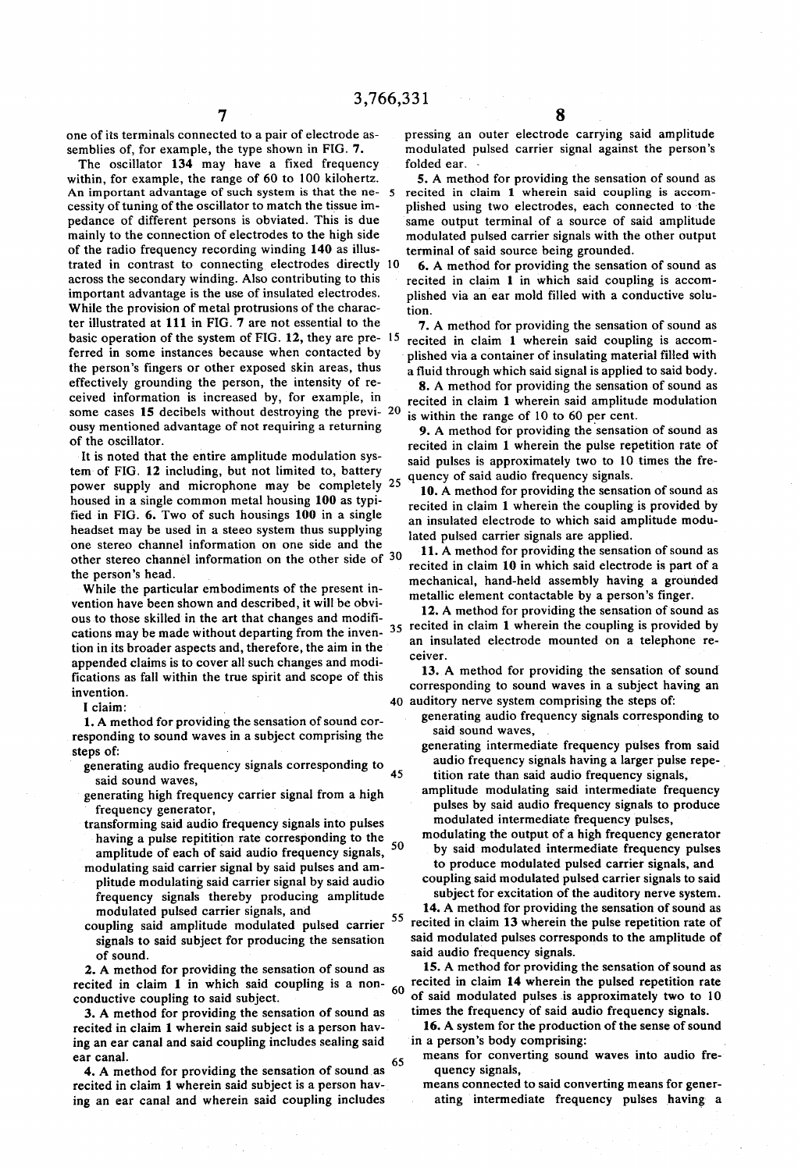one of its terminals connected to a pair of electrode as semblies of, for example, the type shown in FIG. 7.

The oscillator 134 may have a fixed frequency within, for example, the range of 60 to 100 kilohertz. An important advantage of such system is that the ne- 5 cessity of tuning of the oscillator to match the tissue im pedance of different persons is obviated. This is due mainly to the connection of electrodes to the high side of the radio frequency recording winding 140 as illus trated in contrast to connecting electrodes directly 10 across the secondary winding. Also contributing to this important advantage is the use of insulated electrodes. While the provision of metal protrusions of the charac ter illustrated at 111 in FIG. 7 are not essential to the basic operation of the system of  $FIG. 12$ , they are pre- 15 ferred in some instances because when contacted by the person's fingers or other exposed skin areas, thus effectively grounding the person, the intensity of re ceived information is increased by, for example, in some cases 15 decibels without destroying the previ-  $20$ ousy mentioned advantage of not requiring a returning of the oscillator.

It is noted that the entire amplitude modulation sys tem of FIG. 12 including, but not limited to, battery power supply and microphone may be completely 25 housed in a single common metal housing 100 as typi-<br>fied in FIG. 6. Two of such housings 100 in a single headset may be used in a steeo system thus supplying one stereo channel information on one side and the other stereo channel information on the other side of 30 the person's head.

While the particular embodiments of the present in vention have been shown and described, it will be obvi ous to those skilled in the art that changes and modifi cations may be made without departing from the inven- $35$ tion in its broader aspects and, therefore, the aim in the appended claims is to cover all such changes and modi fications as fall within the true spirit and scope of this invention.

I claim:

1. A method for providing the sensation of sound cor responding to sound waves in a subject comprising the steps of:

- generating audio frequency signals corresponding to 45
- 
- said sound waves, generator, generator, transforming said audio frequency signals into pulses having a pulse repitition rate corresponding to the amplitude of each of said audio frequency signals,
- modulating said carrier signal by said pulses and amplitude modulating said carrier signal by said audio frequency signals thereby producing amplitude modulated pulsed carrier signals, and
- coupling said amplitude modulated pulsed carrier signals to said subject for producing the sensation of sound.

2. A method for providing the sensation of sound as recited in claim 1 in which said coupling is a non conductive coupling to said subject. 60

3. A method for providing the sensation of sound as recited in claim 1 wherein said subject is a person hav ing an ear canal and said coupling includes sealing said ear canal.

65 4. A method for providing the sensation of sound as recited in claim 1 wherein said subject is a person hav ing an ear canal and wherein said coupling includes

pressing an outer electrode carrying said amplitude modulated pulsed carrier signal against the person's folded ear.

5. A method for providing the sensation of sound as recited in claim 1 wherein said coupling is accom plished using two electrodes, each connected to the same output terminal of a source of said amplitude modulated pulsed carrier signals with the other output terminal of said source being grounded.

6. A method for providing the sensation of sound as recited in claim 1 in which said coupling is accom plished via an ear mold filled with a conductive solu tion.

7. A method for providing the sensation of sound as recited in claim 1 wherein said coupling is accom plished via a container of insulating material filled with a fluid through which said signal is applied to said body.

8. A method for providing the sensation of sound as recited in claim 1 wherein said amplitude modulation is within the range of 10 to 60 per cent.

9. A method for providing the sensation of sound as recited in claim 1 wherein the pulse repetition rate of said pulses is approximately two to 10 times the fre quency of said audio frequency signals.

10. A method for providing the sensation of sound as recited in claim 1 wherein the coupling is provided by an insulated electrode to which said amplitude modu lated pulsed carrier signals are applied.

11. A method for providing the sensation of sound as recited in claim 10 in which said electrode is part of a mechanical, hand-held assembly having a grounded metallic element contactable by a person's finger.<br>12. A method for providing the sensation of sound as

12. A method for providing the sensation of sound as recited in claim 1 wherein the coupling is provided by an insulated electrode mounted on a telephone re ceiver.

40 auditory nerve system comprising the steps of: 13. A method for providing the sensation of sound corresponding to sound waves in a subject having an

generating audio frequency signals corresponding to said sound waves,

- generating intermediate frequency pulses from said audio frequency signals having a larger pulse repe
- amplitude modulating said intermediate frequency pulses by said audio frequency signals to produce modulated intermediate frequency pulses, modulating the output of a high frequency generator
- by said modulated intermediate frequency pulses to produce modulated pulsed carrier signals, and
- coupling said modulated pulsed carrier signals to said subject for excitation of the auditory nerve system.

55 14. A method for providing the sensation of sound as recited in claim 13 wherein the pulse repetition rate of said modulated pulses corresponds to the amplitude of said audio frequency signals.

15. A method for providing the sensation of sound as recited in claim 14 wherein the pulsed repetition rate of said modulated pulses is approximately two to 10 times the frequency of said audio frequency signals.

16. A system for the production of the sense of sound in a person's body comprising:

means for converting sound waves into audio fre quency signals,

means connected to said converting means for generating intermediate frequency pulses having a

SO